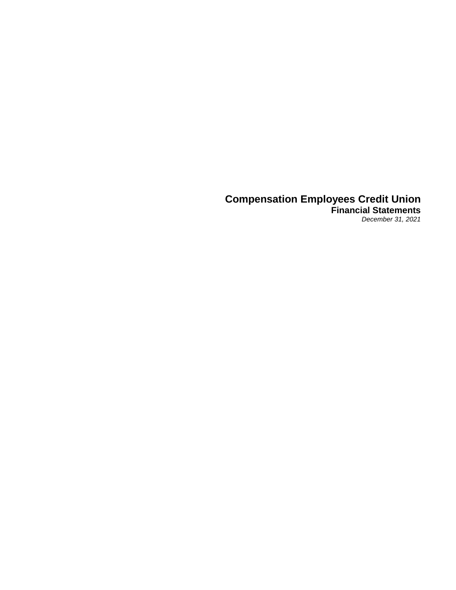## **Compensation Employees Credit Union Financial Statements**

*December 31, 2021*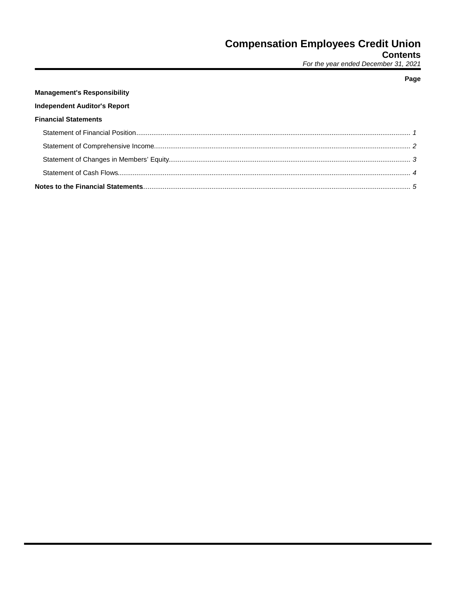## **Contents**

For the year ended December 31, 2021

# **Management's Responsibility Independent Auditor's Report Financial Statements**

## Page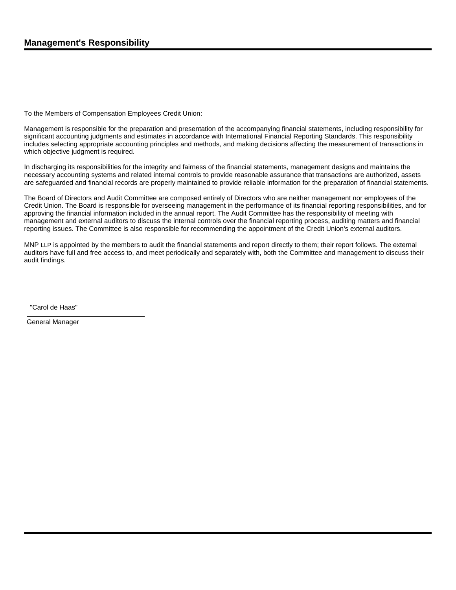To the Members of Compensation Employees Credit Union:

Management is responsible for the preparation and presentation of the accompanying financial statements, including responsibility for significant accounting judgments and estimates in accordance with International Financial Reporting Standards. This responsibility includes selecting appropriate accounting principles and methods, and making decisions affecting the measurement of transactions in which objective judgment is required.

In discharging its responsibilities for the integrity and fairness of the financial statements, management designs and maintains the necessary accounting systems and related internal controls to provide reasonable assurance that transactions are authorized, assets are safeguarded and financial records are properly maintained to provide reliable information for the preparation of financial statements.

The Board of Directors and Audit Committee are composed entirely of Directors who are neither management nor employees of the Credit Union. The Board is responsible for overseeing management in the performance of its financial reporting responsibilities, and for approving the financial information included in the annual report. The Audit Committee has the responsibility of meeting with management and external auditors to discuss the internal controls over the financial reporting process, auditing matters and financial reporting issues. The Committee is also responsible for recommending the appointment of the Credit Union's external auditors.

MNP LLP is appointed by the members to audit the financial statements and report directly to them; their report follows. The external auditors have full and free access to, and meet periodically and separately with, both the Committee and management to discuss their audit findings.

"Carol de Haas"

General Manager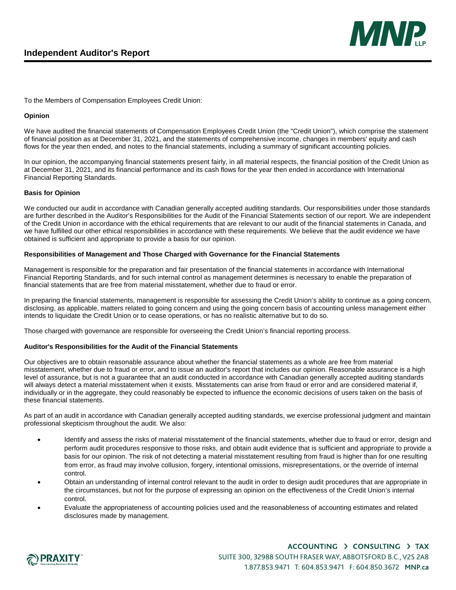

To the Members of Compensation Employees Credit Union:

#### **Opinion**

We have audited the financial statements of Compensation Employees Credit Union (the "Credit Union"), which comprise the statement of financial position as at December 31, 2021, and the statements of comprehensive income, changes in members' equity and cash flows for the year then ended, and notes to the financial statements, including a summary of significant accounting policies.

In our opinion, the accompanying financial statements present fairly, in all material respects, the financial position of the Credit Union as at December 31, 2021, and its financial performance and its cash flows for the year then ended in accordance with International Financial Reporting Standards.

#### **Basis for Opinion**

We conducted our audit in accordance with Canadian generally accepted auditing standards. Our responsibilities under those standards are further described in the Auditor's Responsibilities for the Audit of the Financial Statements section of our report. We are independent of the Credit Union in accordance with the ethical requirements that are relevant to our audit of the financial statements in Canada, and we have fulfilled our other ethical responsibilities in accordance with these requirements. We believe that the audit evidence we have obtained is sufficient and appropriate to provide a basis for our opinion.

#### **Responsibilities of Management and Those Charged with Governance for the Financial Statements**

Management is responsible for the preparation and fair presentation of the financial statements in accordance with International Financial Reporting Standards, and for such internal control as management determines is necessary to enable the preparation of financial statements that are free from material misstatement, whether due to fraud or error.

In preparing the financial statements, management is responsible for assessing the Credit Union's ability to continue as a going concern, disclosing, as applicable, matters related to going concern and using the going concern basis of accounting unless management either intends to liquidate the Credit Union or to cease operations, or has no realistic alternative but to do so.

Those charged with governance are responsible for overseeing the Credit Union's financial reporting process.

### **Auditor's Responsibilities for the Audit of the Financial Statements**

Our objectives are to obtain reasonable assurance about whether the financial statements as a whole are free from material misstatement, whether due to fraud or error, and to issue an auditor's report that includes our opinion. Reasonable assurance is a high level of assurance, but is not a guarantee that an audit conducted in accordance with Canadian generally accepted auditing standards will always detect a material misstatement when it exists. Misstatements can arise from fraud or error and are considered material if, individually or in the aggregate, they could reasonably be expected to influence the economic decisions of users taken on the basis of these financial statements.

As part of an audit in accordance with Canadian generally accepted auditing standards, we exercise professional judgment and maintain professional skepticism throughout the audit. We also:

- Identify and assess the risks of material misstatement of the financial statements, whether due to fraud or error, design and perform audit procedures responsive to those risks, and obtain audit evidence that is sufficient and appropriate to provide a basis for our opinion. The risk of not detecting a material misstatement resulting from fraud is higher than for one resulting from error, as fraud may involve collusion, forgery, intentional omissions, misrepresentations, or the override of internal control.
- Obtain an understanding of internal control relevant to the audit in order to design audit procedures that are appropriate in the circumstances, but not for the purpose of expressing an opinion on the effectiveness of the Credit Union's internal control.
- Evaluate the appropriateness of accounting policies used and the reasonableness of accounting estimates and related disclosures made by management.

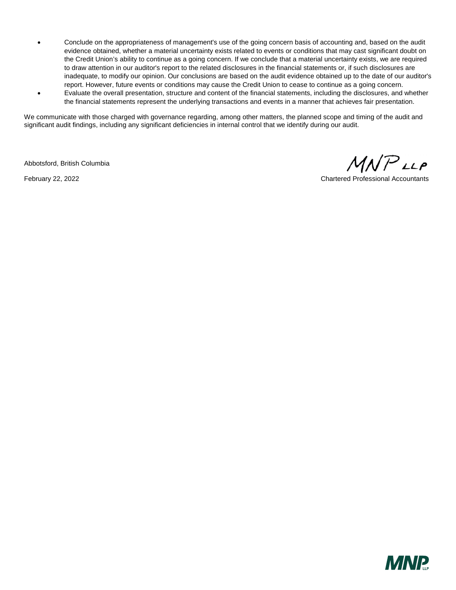- Conclude on the appropriateness of management's use of the going concern basis of accounting and, based on the audit evidence obtained, whether a material uncertainty exists related to events or conditions that may cast significant doubt on the Credit Union's ability to continue as a going concern. If we conclude that a material uncertainty exists, we are required to draw attention in our auditor's report to the related disclosures in the financial statements or, if such disclosures are inadequate, to modify our opinion. Our conclusions are based on the audit evidence obtained up to the date of our auditor's report. However, future events or conditions may cause the Credit Union to cease to continue as a going concern.
- Evaluate the overall presentation, structure and content of the financial statements, including the disclosures, and whether the financial statements represent the underlying transactions and events in a manner that achieves fair presentation.

We communicate with those charged with governance regarding, among other matters, the planned scope and timing of the audit and significant audit findings, including any significant deficiencies in internal control that we identify during our audit.

Abbotsford, British Columbia

 $MNP$ LLP

February 22, 2022 Chartered Professional Accountants

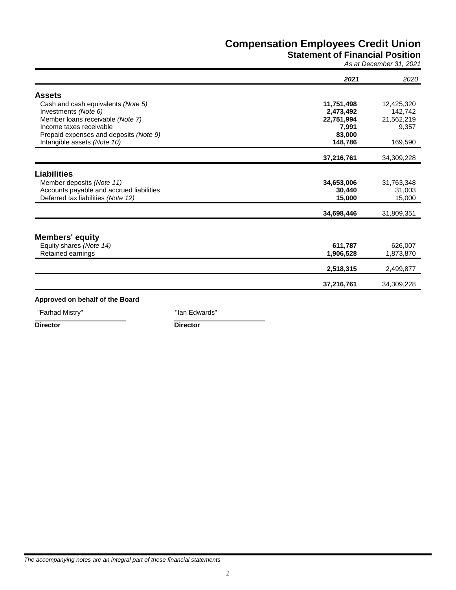## **Statement of Financial Position**

*As at December 31, 2021*

|                                              | 2021       | 2020                 |
|----------------------------------------------|------------|----------------------|
| <b>Assets</b>                                |            |                      |
| Cash and cash equivalents (Note 5)           | 11,751,498 | 12,425,320           |
| Investments (Note 6)                         | 2,473,492  | 142,742              |
| Member loans receivable (Note 7)             | 22,751,994 | 21,562,219           |
| Income taxes receivable                      | 7,991      | 9,357                |
| Prepaid expenses and deposits (Note 9)       | 83,000     |                      |
| Intangible assets (Note 10)                  | 148,786    | 169,590              |
|                                              | 37,216,761 | 34,309,228           |
| <b>Liabilities</b>                           |            |                      |
| Member deposits (Note 11)                    | 34,653,006 | 31,763,348           |
| Accounts payable and accrued liabilities     | 30,440     | 31,003               |
| Deferred tax liabilities (Note 12)           | 15,000     | 15,000               |
|                                              | 34,698,446 | 31,809,351           |
| <b>Members' equity</b>                       |            |                      |
|                                              | 611,787    |                      |
| Equity shares (Note 14)<br>Retained earnings | 1,906,528  | 626,007<br>1,873,870 |
|                                              |            |                      |
|                                              | 2,518,315  | 2,499,877            |
|                                              | 37,216,761 | 34,309,228           |

"Farhad Mistry" **Take and American Control Control** "Ian Edwards"

**Director Director**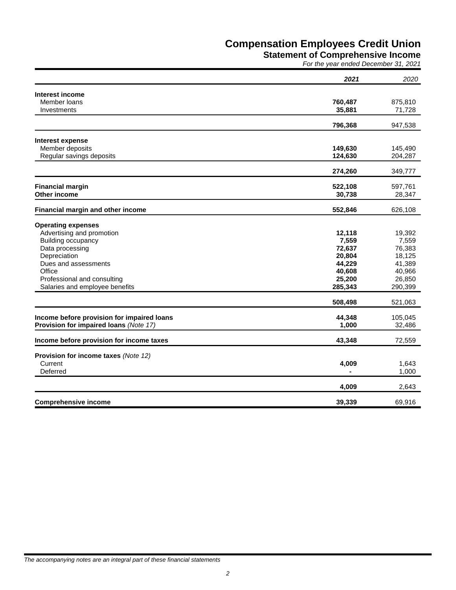**Statement of Comprehensive Income**

*For the year ended December 31, 2021*

|                                            | 2021           | 2020              |
|--------------------------------------------|----------------|-------------------|
|                                            |                |                   |
| <b>Interest income</b><br>Member Ioans     | 760,487        |                   |
| Investments                                | 35,881         | 875,810<br>71,728 |
|                                            |                |                   |
|                                            | 796,368        | 947,538           |
| <b>Interest expense</b>                    |                |                   |
| Member deposits                            | 149,630        | 145,490           |
| Regular savings deposits                   | 124,630        | 204,287           |
|                                            | 274,260        | 349,777           |
| <b>Financial margin</b>                    | 522,108        | 597,761           |
| Other income                               | 30,738         | 28,347            |
|                                            |                |                   |
| Financial margin and other income          | 552,846        | 626,108           |
| <b>Operating expenses</b>                  |                |                   |
| Advertising and promotion                  | 12,118         | 19,392            |
| Building occupancy                         | 7,559          | 7,559             |
| Data processing                            | 72,637         | 76,383            |
| Depreciation                               | 20,804         | 18,125            |
| Dues and assessments                       | 44,229         | 41,389            |
| Office                                     | 40,608         | 40,966            |
| Professional and consulting                | 25,200         | 26,850            |
| Salaries and employee benefits             | 285,343        | 290,399           |
|                                            | 508,498        | 521,063           |
| Income before provision for impaired loans | 44,348         | 105,045           |
| Provision for impaired loans (Note 17)     | 1,000          | 32,486            |
|                                            |                |                   |
| Income before provision for income taxes   | 43,348         | 72,559            |
| Provision for income taxes (Note 12)       |                |                   |
| Current                                    | 4,009          | 1,643             |
| Deferred                                   | $\blacksquare$ | 1,000             |
|                                            | 4,009          | 2,643             |
| <b>Comprehensive income</b>                | 39,339         | 69,916            |
|                                            |                |                   |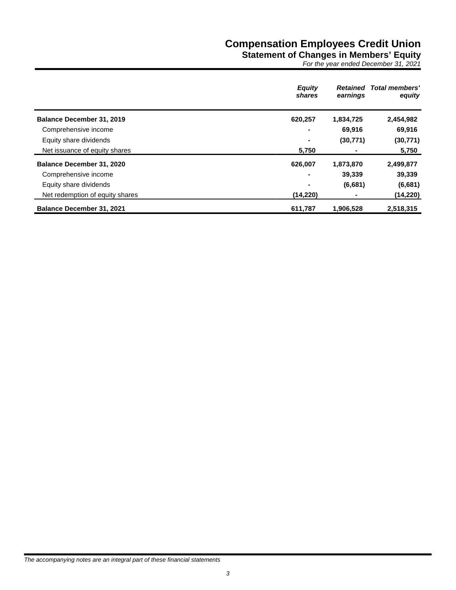## **Statement of Changes in Members' Equity**

*For the year ended December 31, 2021*

|                                  | <b>Equity</b><br>shares | <b>Retained</b><br>earnings | <b>Total members'</b><br>equity |
|----------------------------------|-------------------------|-----------------------------|---------------------------------|
| <b>Balance December 31, 2019</b> | 620,257                 | 1,834,725                   | 2,454,982                       |
| Comprehensive income             |                         | 69,916                      | 69,916                          |
| Equity share dividends           | ۰                       | (30, 771)                   | (30, 771)                       |
| Net issuance of equity shares    | 5,750                   |                             | 5,750                           |
| <b>Balance December 31, 2020</b> | 626,007                 | 1,873,870                   | 2,499,877                       |
| Comprehensive income             | $\blacksquare$          | 39,339                      | 39,339                          |
| Equity share dividends           |                         | (6,681)                     | (6,681)                         |
| Net redemption of equity shares  | (14, 220)               |                             | (14, 220)                       |
| <b>Balance December 31, 2021</b> | 611,787                 | 1,906,528                   | 2,518,315                       |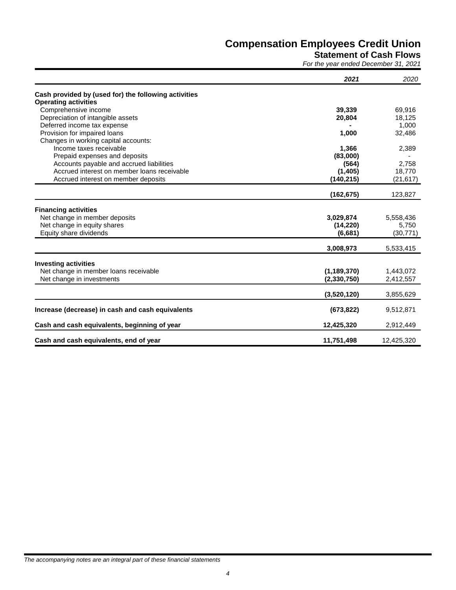## **Statement of Cash Flows**

*For the year ended December 31, 2021*

|                                                      | 2021          | 2020       |
|------------------------------------------------------|---------------|------------|
| Cash provided by (used for) the following activities |               |            |
| <b>Operating activities</b>                          |               |            |
| Comprehensive income                                 | 39,339        | 69,916     |
| Depreciation of intangible assets                    | 20,804        | 18,125     |
| Deferred income tax expense                          |               | 1,000      |
| Provision for impaired loans                         | 1.000         | 32,486     |
| Changes in working capital accounts:                 |               |            |
| Income taxes receivable                              | 1,366         | 2,389      |
| Prepaid expenses and deposits                        | (83,000)      |            |
| Accounts payable and accrued liabilities             | (564)         | 2,758      |
| Accrued interest on member loans receivable          | (1,405)       | 18,770     |
| Accrued interest on member deposits                  | (140, 215)    | (21, 617)  |
|                                                      | (162, 675)    | 123,827    |
| <b>Financing activities</b>                          |               |            |
| Net change in member deposits                        | 3,029,874     | 5,558,436  |
| Net change in equity shares                          | (14, 220)     | 5,750      |
| Equity share dividends                               | (6,681)       | (30, 771)  |
|                                                      | 3,008,973     | 5,533,415  |
|                                                      |               |            |
| <b>Investing activities</b>                          |               |            |
| Net change in member loans receivable                | (1, 189, 370) | 1,443,072  |
| Net change in investments                            | (2,330,750)   | 2,412,557  |
|                                                      | (3,520,120)   | 3,855,629  |
| Increase (decrease) in cash and cash equivalents     | (673, 822)    | 9,512,871  |
|                                                      |               |            |
| Cash and cash equivalents, beginning of year         | 12,425,320    | 2,912,449  |
| Cash and cash equivalents, end of year               | 11,751,498    | 12,425,320 |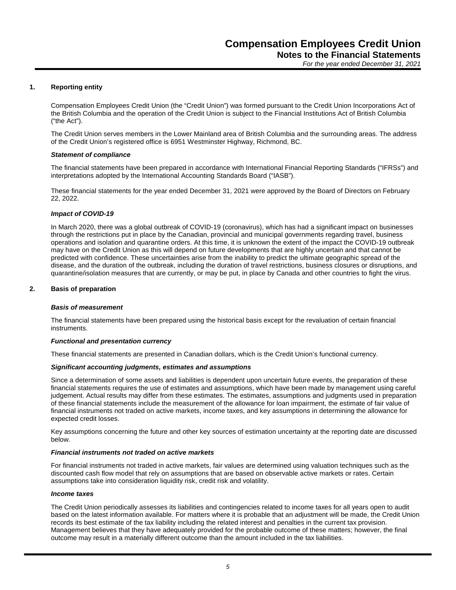#### **1. Reporting entity**

Compensation Employees Credit Union (the "Credit Union") was formed pursuant to the Credit Union Incorporations Act of the British Columbia and the operation of the Credit Union is subject to the Financial Institutions Act of British Columbia ("the Act").

The Credit Union serves members in the Lower Mainland area of British Columbia and the surrounding areas. The address of the Credit Union's registered office is 6951 Westminster Highway, Richmond, BC.

#### *Statement of compliance*

The financial statements have been prepared in accordance with International Financial Reporting Standards ("IFRSs") and interpretations adopted by the International Accounting Standards Board ("IASB").

These financial statements for the year ended December 31, 2021 were approved by the Board of Directors on February 22, 2022.

#### *Impact of COVID-19*

In March 2020, there was a global outbreak of COVID-19 (coronavirus), which has had a significant impact on businesses through the restrictions put in place by the Canadian, provincial and municipal governments regarding travel, business operations and isolation and quarantine orders. At this time, it is unknown the extent of the impact the COVID-19 outbreak may have on the Credit Union as this will depend on future developments that are highly uncertain and that cannot be predicted with confidence. These uncertainties arise from the inability to predict the ultimate geographic spread of the disease, and the duration of the outbreak, including the duration of travel restrictions, business closures or disruptions, and quarantine/isolation measures that are currently, or may be put, in place by Canada and other countries to fight the virus.

#### **2. Basis of preparation**

#### *Basis of measurement*

The financial statements have been prepared using the historical basis except for the revaluation of certain financial instruments.

#### *Functional and presentation currency*

These financial statements are presented in Canadian dollars, which is the Credit Union's functional currency.

#### *Significant accounting judgments, estimates and assumptions*

Since a determination of some assets and liabilities is dependent upon uncertain future events, the preparation of these financial statements requires the use of estimates and assumptions, which have been made by management using careful judgement. Actual results may differ from these estimates. The estimates, assumptions and judgments used in preparation of these financial statements include the measurement of the allowance for loan impairment, the estimate of fair value of financial instruments not traded on active markets, income taxes, and key assumptions in determining the allowance for expected credit losses.

Key assumptions concerning the future and other key sources of estimation uncertainty at the reporting date are discussed below.

#### *Financial instruments not traded on active markets*

For financial instruments not traded in active markets, fair values are determined using valuation techniques such as the discounted cash flow model that rely on assumptions that are based on observable active markets or rates. Certain assumptions take into consideration liquidity risk, credit risk and volatility.

#### *Income taxes*

The Credit Union periodically assesses its liabilities and contingencies related to income taxes for all years open to audit based on the latest information available. For matters where it is probable that an adjustment will be made, the Credit Union records its best estimate of the tax liability including the related interest and penalties in the current tax provision. Management believes that they have adequately provided for the probable outcome of these matters; however, the final outcome may result in a materially different outcome than the amount included in the tax liabilities.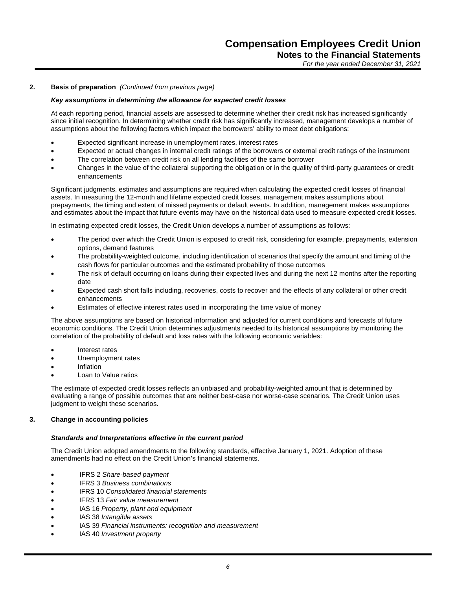#### **2. Basis of preparation** *(Continued from previous page)*

#### *Key assumptions in determining the allowance for expected credit losses*

At each reporting period, financial assets are assessed to determine whether their credit risk has increased significantly since initial recognition. In determining whether credit risk has significantly increased, management develops a number of assumptions about the following factors which impact the borrowers' ability to meet debt obligations:

- Expected significant increase in unemployment rates, interest rates
- Expected or actual changes in internal credit ratings of the borrowers or external credit ratings of the instrument
- The correlation between credit risk on all lending facilities of the same borrower
- Changes in the value of the collateral supporting the obligation or in the quality of third-party guarantees or credit enhancements

Significant judgments, estimates and assumptions are required when calculating the expected credit losses of financial assets. In measuring the 12-month and lifetime expected credit losses, management makes assumptions about prepayments, the timing and extent of missed payments or default events. In addition, management makes assumptions and estimates about the impact that future events may have on the historical data used to measure expected credit losses.

In estimating expected credit losses, the Credit Union develops a number of assumptions as follows:

- The period over which the Credit Union is exposed to credit risk, considering for example, prepayments, extension options, demand features
- The probability-weighted outcome, including identification of scenarios that specify the amount and timing of the cash flows for particular outcomes and the estimated probability of those outcomes
- The risk of default occurring on loans during their expected lives and during the next 12 months after the reporting date
- Expected cash short falls including, recoveries, costs to recover and the effects of any collateral or other credit enhancements
- Estimates of effective interest rates used in incorporating the time value of money

The above assumptions are based on historical information and adjusted for current conditions and forecasts of future economic conditions. The Credit Union determines adjustments needed to its historical assumptions by monitoring the correlation of the probability of default and loss rates with the following economic variables:

- Interest rates
- Unemployment rates
- Inflation
- Loan to Value ratios

The estimate of expected credit losses reflects an unbiased and probability-weighted amount that is determined by evaluating a range of possible outcomes that are neither best-case nor worse-case scenarios. The Credit Union uses judgment to weight these scenarios.

#### **3. Change in accounting policies**

#### *Standards and Interpretations effective in the current period*

The Credit Union adopted amendments to the following standards, effective January 1, 2021. Adoption of these amendments had no effect on the Credit Union's financial statements.

- IFRS 2 *Share-based payment*
- IFRS 3 *Business combinations*
- IFRS 10 *Consolidated financial statements*
- IFRS 13 *Fair value measurement*
- IAS 16 *Property, plant and equipment*
- IAS 38 *Intangible assets*
- IAS 39 *Financial instruments: recognition and measurement*
- IAS 40 *Investment property*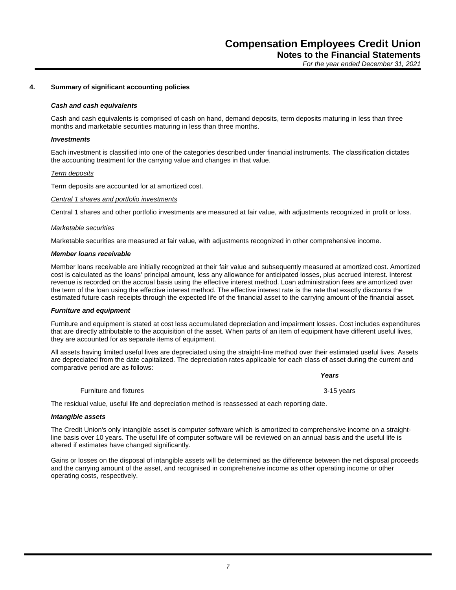#### **4. Summary of significant accounting policies**

#### *Cash and cash equivalents*

Cash and cash equivalents is comprised of cash on hand, demand deposits, term deposits maturing in less than three months and marketable securities maturing in less than three months.

#### *Investments*

Each investment is classified into one of the categories described under financial instruments. The classification dictates the accounting treatment for the carrying value and changes in that value.

#### *Term deposits*

Term deposits are accounted for at amortized cost.

#### *Central 1 shares and portfolio investments*

Central 1 shares and other portfolio investments are measured at fair value, with adjustments recognized in profit or loss.

#### *Marketable securities*

Marketable securities are measured at fair value, with adjustments recognized in other comprehensive income.

#### *Member loans receivable*

Member loans receivable are initially recognized at their fair value and subsequently measured at amortized cost. Amortized cost is calculated as the loans' principal amount, less any allowance for anticipated losses, plus accrued interest. Interest revenue is recorded on the accrual basis using the effective interest method. Loan administration fees are amortized over the term of the loan using the effective interest method. The effective interest rate is the rate that exactly discounts the estimated future cash receipts through the expected life of the financial asset to the carrying amount of the financial asset.

#### *Furniture and equipment*

Furniture and equipment is stated at cost less accumulated depreciation and impairment losses. Cost includes expenditures that are directly attributable to the acquisition of the asset. When parts of an item of equipment have different useful lives, they are accounted for as separate items of equipment.

All assets having limited useful lives are depreciated using the straight-line method over their estimated useful lives. Assets are depreciated from the date capitalized. The depreciation rates applicable for each class of asset during the current and comparative period are as follows:

#### *Years*

Furniture and fixtures 3-15 years

The residual value, useful life and depreciation method is reassessed at each reporting date.

#### *Intangible assets*

The Credit Union's only intangible asset is computer software which is amortized to comprehensive income on a straightline basis over 10 years. The useful life of computer software will be reviewed on an annual basis and the useful life is altered if estimates have changed significantly.

Gains or losses on the disposal of intangible assets will be determined as the difference between the net disposal proceeds and the carrying amount of the asset, and recognised in comprehensive income as other operating income or other operating costs, respectively.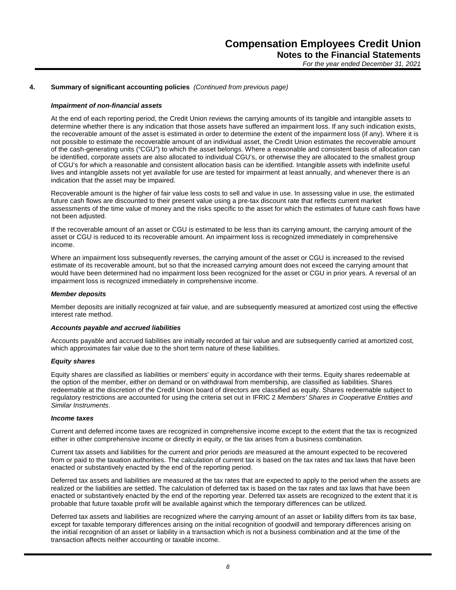#### **4. Summary of significant accounting policies** *(Continued from previous page)*

#### *Impairment of non-financial assets*

At the end of each reporting period, the Credit Union reviews the carrying amounts of its tangible and intangible assets to determine whether there is any indication that those assets have suffered an impairment loss. If any such indication exists, the recoverable amount of the asset is estimated in order to determine the extent of the impairment loss (if any). Where it is not possible to estimate the recoverable amount of an individual asset, the Credit Union estimates the recoverable amount of the cash-generating units ("CGU") to which the asset belongs. Where a reasonable and consistent basis of allocation can be identified, corporate assets are also allocated to individual CGU's, or otherwise they are allocated to the smallest group of CGU's for which a reasonable and consistent allocation basis can be identified. Intangible assets with indefinite useful lives and intangible assets not yet available for use are tested for impairment at least annually, and whenever there is an indication that the asset may be impaired.

Recoverable amount is the higher of fair value less costs to sell and value in use. In assessing value in use, the estimated future cash flows are discounted to their present value using a pre-tax discount rate that reflects current market assessments of the time value of money and the risks specific to the asset for which the estimates of future cash flows have not been adjusted.

If the recoverable amount of an asset or CGU is estimated to be less than its carrying amount, the carrying amount of the asset or CGU is reduced to its recoverable amount. An impairment loss is recognized immediately in comprehensive income.

Where an impairment loss subsequently reverses, the carrying amount of the asset or CGU is increased to the revised estimate of its recoverable amount, but so that the increased carrying amount does not exceed the carrying amount that would have been determined had no impairment loss been recognized for the asset or CGU in prior years. A reversal of an impairment loss is recognized immediately in comprehensive income.

#### *Member deposits*

Member deposits are initially recognized at fair value, and are subsequently measured at amortized cost using the effective interest rate method.

#### *Accounts payable and accrued liabilities*

Accounts payable and accrued liabilities are initially recorded at fair value and are subsequently carried at amortized cost, which approximates fair value due to the short term nature of these liabilities.

#### *Equity shares*

Equity shares are classified as liabilities or members' equity in accordance with their terms. Equity shares redeemable at the option of the member, either on demand or on withdrawal from membership, are classified as liabilities. Shares redeemable at the discretion of the Credit Union board of directors are classified as equity. Shares redeemable subject to regulatory restrictions are accounted for using the criteria set out in IFRIC 2 *Members' Shares in Cooperative Entities and Similar Instruments*.

#### *Income taxes*

Current and deferred income taxes are recognized in comprehensive income except to the extent that the tax is recognized either in other comprehensive income or directly in equity, or the tax arises from a business combination.

Current tax assets and liabilities for the current and prior periods are measured at the amount expected to be recovered from or paid to the taxation authorities. The calculation of current tax is based on the tax rates and tax laws that have been enacted or substantively enacted by the end of the reporting period.

Deferred tax assets and liabilities are measured at the tax rates that are expected to apply to the period when the assets are realized or the liabilities are settled. The calculation of deferred tax is based on the tax rates and tax laws that have been enacted or substantively enacted by the end of the reporting year. Deferred tax assets are recognized to the extent that it is probable that future taxable profit will be available against which the temporary differences can be utilized.

Deferred tax assets and liabilities are recognized where the carrying amount of an asset or liability differs from its tax base, except for taxable temporary differences arising on the initial recognition of goodwill and temporary differences arising on the initial recognition of an asset or liability in a transaction which is not a business combination and at the time of the transaction affects neither accounting or taxable income.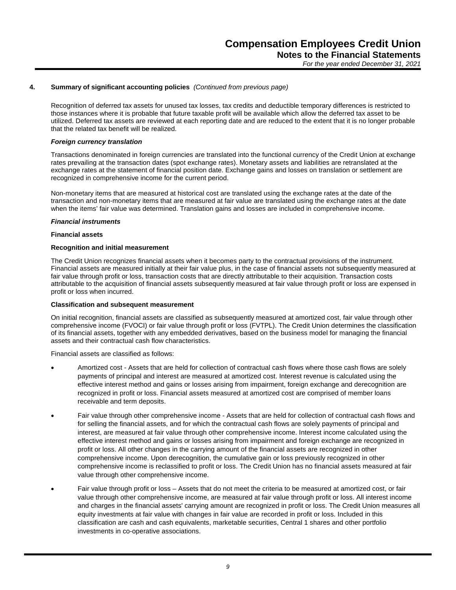#### **4. Summary of significant accounting policies** *(Continued from previous page)*

Recognition of deferred tax assets for unused tax losses, tax credits and deductible temporary differences is restricted to those instances where it is probable that future taxable profit will be available which allow the deferred tax asset to be utilized. Deferred tax assets are reviewed at each reporting date and are reduced to the extent that it is no longer probable that the related tax benefit will be realized.

#### *Foreign currency translation*

Transactions denominated in foreign currencies are translated into the functional currency of the Credit Union at exchange rates prevailing at the transaction dates (spot exchange rates). Monetary assets and liabilities are retranslated at the exchange rates at the statement of financial position date. Exchange gains and losses on translation or settlement are recognized in comprehensive income for the current period.

Non-monetary items that are measured at historical cost are translated using the exchange rates at the date of the transaction and non-monetary items that are measured at fair value are translated using the exchange rates at the date when the items' fair value was determined. Translation gains and losses are included in comprehensive income.

#### *Financial instruments*

#### **Financial assets**

#### **Recognition and initial measurement**

The Credit Union recognizes financial assets when it becomes party to the contractual provisions of the instrument. Financial assets are measured initially at their fair value plus, in the case of financial assets not subsequently measured at fair value through profit or loss, transaction costs that are directly attributable to their acquisition. Transaction costs attributable to the acquisition of financial assets subsequently measured at fair value through profit or loss are expensed in profit or loss when incurred.

#### **Classification and subsequent measurement**

On initial recognition, financial assets are classified as subsequently measured at amortized cost, fair value through other comprehensive income (FVOCI) or fair value through profit or loss (FVTPL). The Credit Union determines the classification of its financial assets, together with any embedded derivatives, based on the business model for managing the financial assets and their contractual cash flow characteristics.

Financial assets are classified as follows:

- Amortized cost Assets that are held for collection of contractual cash flows where those cash flows are solely payments of principal and interest are measured at amortized cost. Interest revenue is calculated using the effective interest method and gains or losses arising from impairment, foreign exchange and derecognition are recognized in profit or loss. Financial assets measured at amortized cost are comprised of member loans receivable and term deposits.
- Fair value through other comprehensive income Assets that are held for collection of contractual cash flows and for selling the financial assets, and for which the contractual cash flows are solely payments of principal and interest, are measured at fair value through other comprehensive income. Interest income calculated using the effective interest method and gains or losses arising from impairment and foreign exchange are recognized in profit or loss. All other changes in the carrying amount of the financial assets are recognized in other comprehensive income. Upon derecognition, the cumulative gain or loss previously recognized in other comprehensive income is reclassified to profit or loss. The Credit Union has no financial assets measured at fair value through other comprehensive income.
- Fair value through profit or loss Assets that do not meet the criteria to be measured at amortized cost, or fair value through other comprehensive income, are measured at fair value through profit or loss. All interest income and charges in the financial assets' carrying amount are recognized in profit or loss. The Credit Union measures all equity investments at fair value with changes in fair value are recorded in profit or loss. Included in this classification are cash and cash equivalents, marketable securities, Central 1 shares and other portfolio investments in co-operative associations.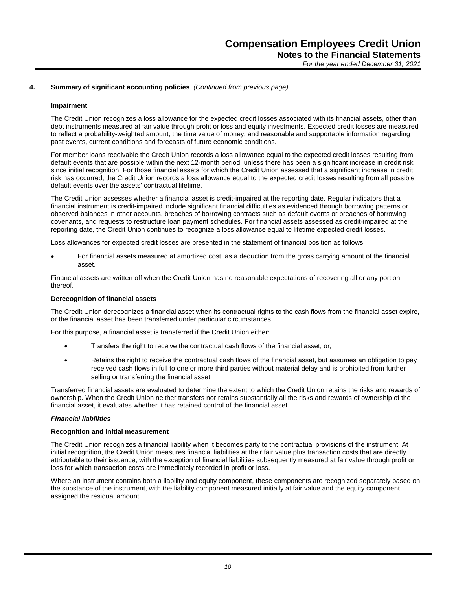#### **4. Summary of significant accounting policies** *(Continued from previous page)*

#### **Impairment**

The Credit Union recognizes a loss allowance for the expected credit losses associated with its financial assets, other than debt instruments measured at fair value through profit or loss and equity investments. Expected credit losses are measured to reflect a probability-weighted amount, the time value of money, and reasonable and supportable information regarding past events, current conditions and forecasts of future economic conditions.

For member loans receivable the Credit Union records a loss allowance equal to the expected credit losses resulting from default events that are possible within the next 12-month period, unless there has been a significant increase in credit risk since initial recognition. For those financial assets for which the Credit Union assessed that a significant increase in credit risk has occurred, the Credit Union records a loss allowance equal to the expected credit losses resulting from all possible default events over the assets' contractual lifetime.

The Credit Union assesses whether a financial asset is credit-impaired at the reporting date. Regular indicators that a financial instrument is credit-impaired include significant financial difficulties as evidenced through borrowing patterns or observed balances in other accounts, breaches of borrowing contracts such as default events or breaches of borrowing covenants, and requests to restructure loan payment schedules. For financial assets assessed as credit-impaired at the reporting date, the Credit Union continues to recognize a loss allowance equal to lifetime expected credit losses.

Loss allowances for expected credit losses are presented in the statement of financial position as follows:

 For financial assets measured at amortized cost, as a deduction from the gross carrying amount of the financial asset.

Financial assets are written off when the Credit Union has no reasonable expectations of recovering all or any portion thereof.

#### **Derecognition of financial assets**

The Credit Union derecognizes a financial asset when its contractual rights to the cash flows from the financial asset expire, or the financial asset has been transferred under particular circumstances.

For this purpose, a financial asset is transferred if the Credit Union either:

- Transfers the right to receive the contractual cash flows of the financial asset, or;
- Retains the right to receive the contractual cash flows of the financial asset, but assumes an obligation to pay received cash flows in full to one or more third parties without material delay and is prohibited from further selling or transferring the financial asset.

Transferred financial assets are evaluated to determine the extent to which the Credit Union retains the risks and rewards of ownership. When the Credit Union neither transfers nor retains substantially all the risks and rewards of ownership of the financial asset, it evaluates whether it has retained control of the financial asset.

#### *Financial liabilities*

#### **Recognition and initial measurement**

The Credit Union recognizes a financial liability when it becomes party to the contractual provisions of the instrument. At initial recognition, the Credit Union measures financial liabilities at their fair value plus transaction costs that are directly attributable to their issuance, with the exception of financial liabilities subsequently measured at fair value through profit or loss for which transaction costs are immediately recorded in profit or loss.

Where an instrument contains both a liability and equity component, these components are recognized separately based on the substance of the instrument, with the liability component measured initially at fair value and the equity component assigned the residual amount.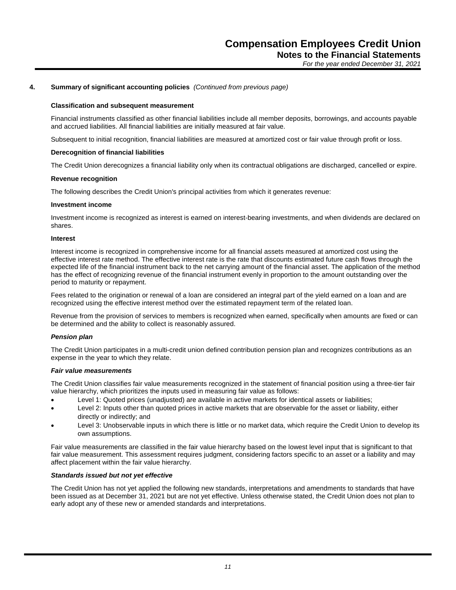#### **4. Summary of significant accounting policies** *(Continued from previous page)*

#### **Classification and subsequent measurement**

Financial instruments classified as other financial liabilities include all member deposits, borrowings, and accounts payable and accrued liabilities. All financial liabilities are initially measured at fair value.

Subsequent to initial recognition, financial liabilities are measured at amortized cost or fair value through profit or loss.

#### **Derecognition of financial liabilities**

The Credit Union derecognizes a financial liability only when its contractual obligations are discharged, cancelled or expire.

#### **Revenue recognition**

The following describes the Credit Union's principal activities from which it generates revenue:

#### **Investment income**

Investment income is recognized as interest is earned on interest-bearing investments, and when dividends are declared on shares.

#### **Interest**

Interest income is recognized in comprehensive income for all financial assets measured at amortized cost using the effective interest rate method. The effective interest rate is the rate that discounts estimated future cash flows through the expected life of the financial instrument back to the net carrying amount of the financial asset. The application of the method has the effect of recognizing revenue of the financial instrument evenly in proportion to the amount outstanding over the period to maturity or repayment.

Fees related to the origination or renewal of a loan are considered an integral part of the yield earned on a loan and are recognized using the effective interest method over the estimated repayment term of the related loan.

Revenue from the provision of services to members is recognized when earned, specifically when amounts are fixed or can be determined and the ability to collect is reasonably assured.

#### *Pension plan*

The Credit Union participates in a multi-credit union defined contribution pension plan and recognizes contributions as an expense in the year to which they relate.

#### *Fair value measurements*

The Credit Union classifies fair value measurements recognized in the statement of financial position using a three-tier fair value hierarchy, which prioritizes the inputs used in measuring fair value as follows:

- Level 1: Quoted prices (unadjusted) are available in active markets for identical assets or liabilities;
- Level 2: Inputs other than quoted prices in active markets that are observable for the asset or liability, either directly or indirectly; and
- Level 3: Unobservable inputs in which there is little or no market data, which require the Credit Union to develop its own assumptions.

Fair value measurements are classified in the fair value hierarchy based on the lowest level input that is significant to that fair value measurement. This assessment requires judgment, considering factors specific to an asset or a liability and may affect placement within the fair value hierarchy.

#### *Standards issued but not yet effective*

The Credit Union has not yet applied the following new standards, interpretations and amendments to standards that have been issued as at December 31, 2021 but are not yet effective. Unless otherwise stated, the Credit Union does not plan to early adopt any of these new or amended standards and interpretations.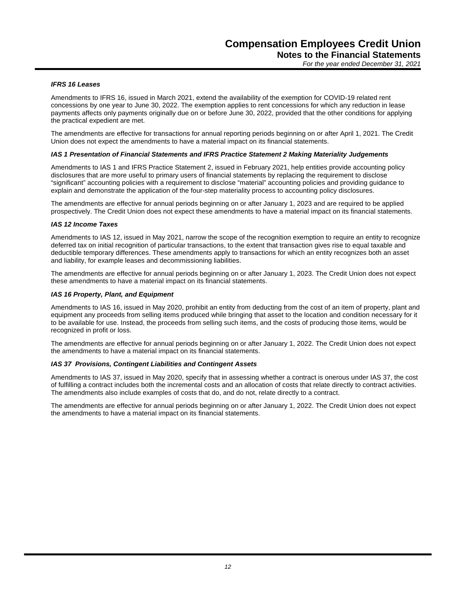#### *IFRS 16 Leases*

Amendments to IFRS 16, issued in March 2021, extend the availability of the exemption for COVID-19 related rent concessions by one year to June 30, 2022. The exemption applies to rent concessions for which any reduction in lease payments affects only payments originally due on or before June 30, 2022, provided that the other conditions for applying the practical expedient are met.

The amendments are effective for transactions for annual reporting periods beginning on or after April 1, 2021. The Credit Union does not expect the amendments to have a material impact on its financial statements.

#### *IAS 1 Presentation of Financial Statements and IFRS Practice Statement 2 Making Materiality Judgements*

Amendments to IAS 1 and IFRS Practice Statement 2, issued in February 2021, help entities provide accounting policy disclosures that are more useful to primary users of financial statements by replacing the requirement to disclose "significant" accounting policies with a requirement to disclose "material" accounting policies and providing guidance to explain and demonstrate the application of the four-step materiality process to accounting policy disclosures.

The amendments are effective for annual periods beginning on or after January 1, 2023 and are required to be applied prospectively. The Credit Union does not expect these amendments to have a material impact on its financial statements.

#### *IAS 12 Income Taxes*

Amendments to IAS 12, issued in May 2021, narrow the scope of the recognition exemption to require an entity to recognize deferred tax on initial recognition of particular transactions, to the extent that transaction gives rise to equal taxable and deductible temporary differences. These amendments apply to transactions for which an entity recognizes both an asset and liability, for example leases and decommissioning liabilities.

The amendments are effective for annual periods beginning on or after January 1, 2023. The Credit Union does not expect these amendments to have a material impact on its financial statements.

#### *IAS 16 Property, Plant, and Equipment*

Amendments to IAS 16, issued in May 2020, prohibit an entity from deducting from the cost of an item of property, plant and equipment any proceeds from selling items produced while bringing that asset to the location and condition necessary for it to be available for use. Instead, the proceeds from selling such items, and the costs of producing those items, would be recognized in profit or loss.

The amendments are effective for annual periods beginning on or after January 1, 2022. The Credit Union does not expect the amendments to have a material impact on its financial statements.

#### *IAS 37 Provisions, Contingent Liabilities and Contingent Assets*

Amendments to IAS 37, issued in May 2020, specify that in assessing whether a contract is onerous under IAS 37, the cost of fulfilling a contract includes both the incremental costs and an allocation of costs that relate directly to contract activities. The amendments also include examples of costs that do, and do not, relate directly to a contract.

The amendments are effective for annual periods beginning on or after January 1, 2022. The Credit Union does not expect the amendments to have a material impact on its financial statements.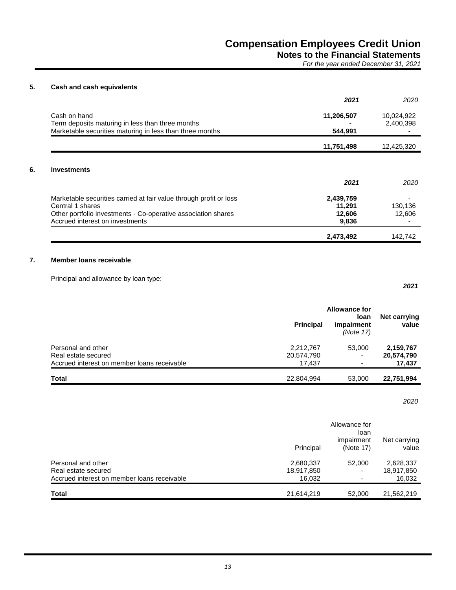## **5. Cash and cash equivalents**

|                                                                                                              | 2021                | 2020       |
|--------------------------------------------------------------------------------------------------------------|---------------------|------------|
| Cash on hand                                                                                                 | 11,206,507          | 10,024,922 |
| Term deposits maturing in less than three months<br>Marketable securities maturing in less than three months | 544,991             | 2,400,398  |
|                                                                                                              |                     |            |
|                                                                                                              | 11,751,498          | 12,425,320 |
|                                                                                                              | 2021                | 2020       |
|                                                                                                              |                     |            |
| Marketable securities carried at fair value through profit or loss<br>Central 1 shares                       | 2,439,759<br>11,291 | 130,136    |
| Other portfolio investments - Co-operative association shares                                                | 12,606              | 12,606     |
| Accrued interest on investments                                                                              | 9,836               |            |
|                                                                                                              | 2,473,492           | 142,742    |

### **7. Member loans receivable**

Principal and allowance by loan type:

*2021*

|                                             | <b>Allowance for</b> |                                        |                              |
|---------------------------------------------|----------------------|----------------------------------------|------------------------------|
|                                             | <b>Principal</b>     | <b>loan</b><br>impairment<br>(Note 17) | <b>Net carrying</b><br>value |
| Personal and other                          | 2,212,767            | 53,000                                 | 2,159,767                    |
| Real estate secured                         | 20,574,790           | -                                      | 20,574,790                   |
| Accrued interest on member loans receivable | 17.437               |                                        | 17,437                       |
| Total                                       | 22,804,994           | 53,000                                 | 22,751,994                   |

*2020*

|                                             | Principal  | Allowance for<br>loan<br>impairment<br>(Note 17) | Net carrying<br>value |
|---------------------------------------------|------------|--------------------------------------------------|-----------------------|
| Personal and other                          | 2,680,337  | 52,000                                           | 2,628,337             |
| Real estate secured                         | 18,917,850 |                                                  | 18,917,850            |
| Accrued interest on member loans receivable | 16.032     |                                                  | 16,032                |
| <b>Total</b>                                | 21,614,219 | 52,000                                           | 21,562,219            |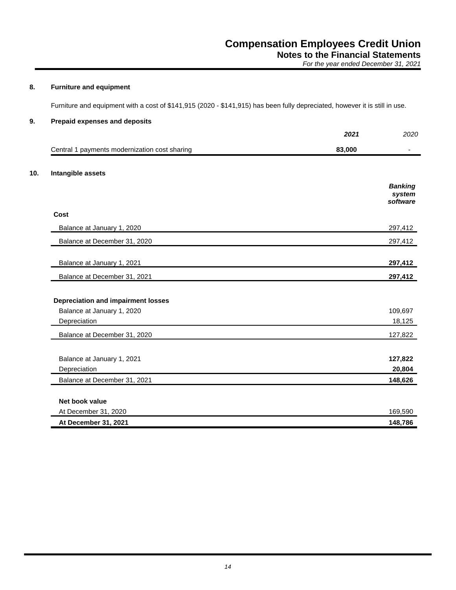**Notes to the Financial Statements** *For the year ended December 31, 2021*

### **8. Furniture and equipment**

Furniture and equipment with a cost of \$141,915 (2020 - \$141,915) has been fully depreciated, however it is still in use.

### **9. Prepaid expenses and deposits**

|                                               | 2021   | 2020               |
|-----------------------------------------------|--------|--------------------|
| Central 1 payments modernization cost sharing | 83,000 |                    |
| Intangible assets                             |        |                    |
|                                               |        | <b>Banking</b>     |
|                                               |        | system<br>software |
| Cost                                          |        |                    |
| Balance at January 1, 2020                    |        | 297,412            |
| Balance at December 31, 2020                  |        | 297,412            |
| Balance at January 1, 2021                    |        | 297,412            |
| Balance at December 31, 2021                  |        | 297,412            |
| <b>Depreciation and impairment losses</b>     |        |                    |
| Balance at January 1, 2020                    |        | 109,697            |
| Depreciation                                  |        | 18,125             |
| Balance at December 31, 2020                  |        | 127,822            |
| Balance at January 1, 2021                    |        | 127,822            |
| Depreciation                                  |        | 20,804             |
| Balance at December 31, 2021                  |        | 148,626            |
| Net book value                                |        |                    |
| At December 31, 2020                          |        | 169,590            |
| At December 31, 2021                          |        | 148,786            |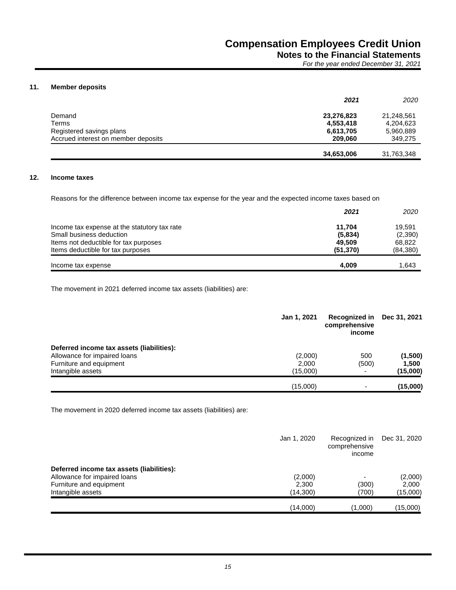**Notes to the Financial Statements**

*For the year ended December 31, 2021*

#### **11. Member deposits**

|                                     | 2021       | 2020       |
|-------------------------------------|------------|------------|
| Demand                              | 23,276,823 | 21,248,561 |
| Terms                               | 4,553,418  | 4,204,623  |
| Registered savings plans            | 6,613,705  | 5,960,889  |
| Accrued interest on member deposits | 209,060    | 349,275    |
|                                     | 34,653,006 | 31,763,348 |

#### **12. Income taxes**

Reasons for the difference between income tax expense for the year and the expected income taxes based on

|                                              | 2021      | 2020     |
|----------------------------------------------|-----------|----------|
| Income tax expense at the statutory tax rate | 11.704    | 19.591   |
| Small business deduction                     | (5,834)   | (2,390)  |
| Items not deductible for tax purposes        | 49,509    | 68,822   |
| Items deductible for tax purposes            | (51, 370) | (84,380) |
| Income tax expense                           | 4.009     | 1.643    |

The movement in 2021 deferred income tax assets (liabilities) are:

|                                           | Jan 1, 2021 | Recognized in<br>comprehensive<br>income | Dec 31, 2021 |
|-------------------------------------------|-------------|------------------------------------------|--------------|
| Deferred income tax assets (liabilities): |             |                                          |              |
| Allowance for impaired loans              | (2,000)     | 500                                      | (1,500)      |
| Furniture and equipment                   | 2,000       | (500)                                    | 1,500        |
| Intangible assets                         | (15,000)    |                                          | (15,000)     |
|                                           | (15,000)    | $\overline{\phantom{0}}$                 | (15,000)     |

The movement in 2020 deferred income tax assets (liabilities) are:

|                                           | Jan 1, 2020 | Recognized in<br>comprehensive<br>income | Dec 31, 2020 |
|-------------------------------------------|-------------|------------------------------------------|--------------|
| Deferred income tax assets (liabilities): |             |                                          |              |
| Allowance for impaired loans              | (2,000)     |                                          | (2,000)      |
| Furniture and equipment                   | 2,300       | (300)                                    | 2,000        |
| Intangible assets                         | (14,300)    | (700)                                    | (15,000)     |
|                                           | (14,000)    | (1,000)                                  | (15,000)     |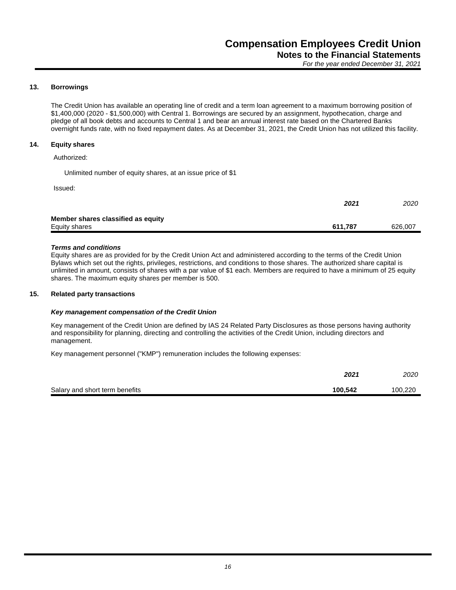#### **13. Borrowings**

The Credit Union has available an operating line of credit and a term loan agreement to a maximum borrowing position of \$1,400,000 (2020 - \$1,500,000) with Central 1. Borrowings are secured by an assignment, hypothecation, charge and pledge of all book debts and accounts to Central 1 and bear an annual interest rate based on the Chartered Banks overnight funds rate, with no fixed repayment dates. As at December 31, 2021, the Credit Union has not utilized this facility.

#### **14. Equity shares**

Authorized:

Unlimited number of equity shares, at an issue price of \$1

Issued:

|                                    | 2021    | 2020    |
|------------------------------------|---------|---------|
| Member shares classified as equity |         |         |
| Equity shares                      | 611.787 | 626,007 |

#### *Terms and conditions*

Equity shares are as provided for by the Credit Union Act and administered according to the terms of the Credit Union Bylaws which set out the rights, privileges, restrictions, and conditions to those shares. The authorized share capital is unlimited in amount, consists of shares with a par value of \$1 each. Members are required to have a minimum of 25 equity shares. The maximum equity shares per member is 500.

#### **15. Related party transactions**

#### *Key management compensation of the Credit Union*

Key management of the Credit Union are defined by IAS 24 Related Party Disclosures as those persons having authority and responsibility for planning, directing and controlling the activities of the Credit Union, including directors and management.

Key management personnel ("KMP") remuneration includes the following expenses:

|                                | 2021    | 2020    |
|--------------------------------|---------|---------|
| Salary and short term benefits | 100.542 | 100,220 |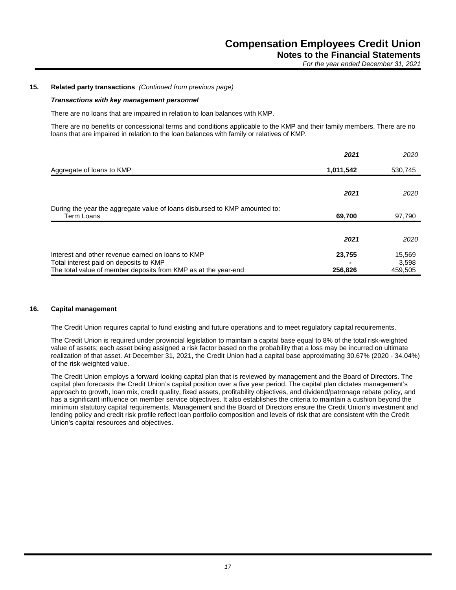#### **15. Related party transactions** *(Continued from previous page)*

#### *Transactions with key management personnel*

There are no loans that are impaired in relation to loan balances with KMP.

There are no benefits or concessional terms and conditions applicable to the KMP and their family members. There are no loans that are impaired in relation to the loan balances with family or relatives of KMP.

|                                                                            | 2021      | 2020    |
|----------------------------------------------------------------------------|-----------|---------|
| Aggregate of loans to KMP                                                  | 1,011,542 | 530,745 |
|                                                                            |           |         |
|                                                                            | 2021      | 2020    |
| During the year the aggregate value of loans disbursed to KMP amounted to: |           |         |
| Term Loans                                                                 | 69,700    | 97,790  |
|                                                                            |           |         |
|                                                                            | 2021      | 2020    |
| Interest and other revenue earned on loans to KMP                          | 23,755    | 15,569  |
| Total interest paid on deposits to KMP                                     |           | 3,598   |
| The total value of member deposits from KMP as at the year-end             | 256,826   | 459,505 |

#### **16. Capital management**

The Credit Union requires capital to fund existing and future operations and to meet regulatory capital requirements.

The Credit Union is required under provincial legislation to maintain a capital base equal to 8% of the total risk-weighted value of assets; each asset being assigned a risk factor based on the probability that a loss may be incurred on ultimate realization of that asset. At December 31, 2021, the Credit Union had a capital base approximating 30.67% (2020 - 34.04%) of the risk-weighted value.

The Credit Union employs a forward looking capital plan that is reviewed by management and the Board of Directors. The capital plan forecasts the Credit Union's capital position over a five year period. The capital plan dictates management's approach to growth, loan mix, credit quality, fixed assets, profitability objectives, and dividend/patronage rebate policy, and has a significant influence on member service objectives. It also establishes the criteria to maintain a cushion beyond the minimum statutory capital requirements. Management and the Board of Directors ensure the Credit Union's investment and lending policy and credit risk profile reflect loan portfolio composition and levels of risk that are consistent with the Credit Union's capital resources and objectives.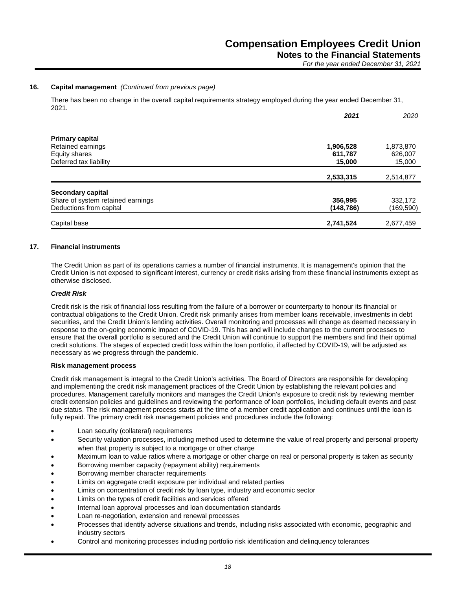**Notes to the Financial Statements**

*For the year ended December 31, 2021*

#### **16. Capital management** *(Continued from previous page)*

There has been no change in the overall capital requirements strategy employed during the year ended December 31, 2021.

|                                   | 2021      | 2020      |
|-----------------------------------|-----------|-----------|
| <b>Primary capital</b>            |           |           |
| Retained earnings                 | 1,906,528 | 1,873,870 |
| Equity shares                     | 611,787   | 626,007   |
| Deferred tax liability            | 15,000    | 15,000    |
|                                   | 2,533,315 | 2,514,877 |
| Secondary capital                 |           |           |
| Share of system retained earnings | 356,995   | 332,172   |
| Deductions from capital           | (148,786) | (169,590) |
| Capital base                      | 2,741,524 | 2,677,459 |

#### **17. Financial instruments**

The Credit Union as part of its operations carries a number of financial instruments. It is management's opinion that the Credit Union is not exposed to significant interest, currency or credit risks arising from these financial instruments except as otherwise disclosed.

#### *Credit Risk*

Credit risk is the risk of financial loss resulting from the failure of a borrower or counterparty to honour its financial or contractual obligations to the Credit Union. Credit risk primarily arises from member loans receivable, investments in debt securities, and the Credit Union's lending activities. Overall monitoring and processes will change as deemed necessary in response to the on-going economic impact of COVID-19. This has and will include changes to the current processes to ensure that the overall portfolio is secured and the Credit Union will continue to support the members and find their optimal credit solutions. The stages of expected credit loss within the loan portfolio, if affected by COVID-19, will be adjusted as necessary as we progress through the pandemic.

#### **Risk management process**

Credit risk management is integral to the Credit Union's activities. The Board of Directors are responsible for developing and implementing the credit risk management practices of the Credit Union by establishing the relevant policies and procedures. Management carefully monitors and manages the Credit Union's exposure to credit risk by reviewing member credit extension policies and guidelines and reviewing the performance of loan portfolios, including default events and past due status. The risk management process starts at the time of a member credit application and continues until the loan is fully repaid. The primary credit risk management policies and procedures include the following:

- Loan security (collateral) requirements
- Security valuation processes, including method used to determine the value of real property and personal property when that property is subject to a mortgage or other charge
- Maximum loan to value ratios where a mortgage or other charge on real or personal property is taken as security
- Borrowing member capacity (repayment ability) requirements
- Borrowing member character requirements
- Limits on aggregate credit exposure per individual and related parties
- Limits on concentration of credit risk by loan type, industry and economic sector
- Limits on the types of credit facilities and services offered
- Internal loan approval processes and loan documentation standards
- Loan re-negotiation, extension and renewal processes
- Processes that identify adverse situations and trends, including risks associated with economic, geographic and industry sectors
- Control and monitoring processes including portfolio risk identification and delinquency tolerances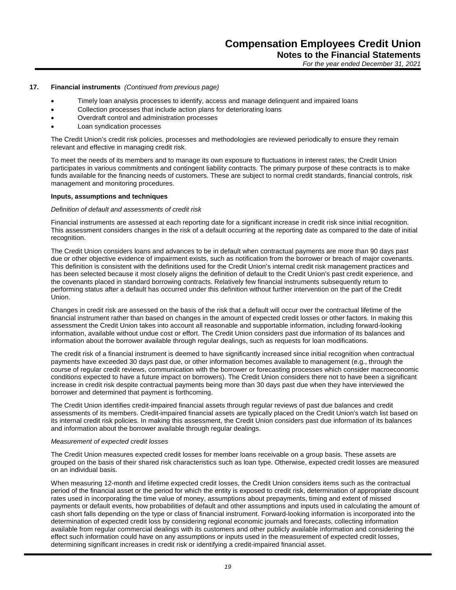#### **17. Financial instruments** *(Continued from previous page)*

- Timely loan analysis processes to identify, access and manage delinquent and impaired loans
- Collection processes that include action plans for deteriorating loans
- Overdraft control and administration processes
- Loan syndication processes

The Credit Union's credit risk policies, processes and methodologies are reviewed periodically to ensure they remain relevant and effective in managing credit risk.

To meet the needs of its members and to manage its own exposure to fluctuations in interest rates, the Credit Union participates in various commitments and contingent liability contracts. The primary purpose of these contracts is to make funds available for the financing needs of customers. These are subject to normal credit standards, financial controls, risk management and monitoring procedures.

#### **Inputs, assumptions and techniques**

#### *Definition of default and assessments of credit risk*

Financial instruments are assessed at each reporting date for a significant increase in credit risk since initial recognition. This assessment considers changes in the risk of a default occurring at the reporting date as compared to the date of initial recognition.

The Credit Union considers loans and advances to be in default when contractual payments are more than 90 days past due or other objective evidence of impairment exists, such as notification from the borrower or breach of major covenants. This definition is consistent with the definitions used for the Credit Union's internal credit risk management practices and has been selected because it most closely aligns the definition of default to the Credit Union's past credit experience, and the covenants placed in standard borrowing contracts. Relatively few financial instruments subsequently return to performing status after a default has occurred under this definition without further intervention on the part of the Credit Union.

Changes in credit risk are assessed on the basis of the risk that a default will occur over the contractual lifetime of the financial instrument rather than based on changes in the amount of expected credit losses or other factors. In making this assessment the Credit Union takes into account all reasonable and supportable information, including forward-looking information, available without undue cost or effort. The Credit Union considers past due information of its balances and information about the borrower available through regular dealings, such as requests for loan modifications.

The credit risk of a financial instrument is deemed to have significantly increased since initial recognition when contractual payments have exceeded 30 days past due, or other information becomes available to management (e.g., through the course of regular credit reviews, communication with the borrower or forecasting processes which consider macroeconomic conditions expected to have a future impact on borrowers). The Credit Union considers there not to have been a significant increase in credit risk despite contractual payments being more than 30 days past due when they have interviewed the borrower and determined that payment is forthcoming.

The Credit Union identifies credit-impaired financial assets through regular reviews of past due balances and credit assessments of its members. Credit-impaired financial assets are typically placed on the Credit Union's watch list based on its internal credit risk policies. In making this assessment, the Credit Union considers past due information of its balances and information about the borrower available through regular dealings.

#### *Measurement of expected credit losses*

The Credit Union measures expected credit losses for member loans receivable on a group basis. These assets are grouped on the basis of their shared risk characteristics such as loan type. Otherwise, expected credit losses are measured on an individual basis.

When measuring 12-month and lifetime expected credit losses, the Credit Union considers items such as the contractual period of the financial asset or the period for which the entity is exposed to credit risk, determination of appropriate discount rates used in incorporating the time value of money, assumptions about prepayments, timing and extent of missed payments or default events, how probabilities of default and other assumptions and inputs used in calculating the amount of cash short falls depending on the type or class of financial instrument. Forward-looking information is incorporated into the determination of expected credit loss by considering regional economic journals and forecasts, collecting information available from regular commercial dealings with its customers and other publicly available information and considering the effect such information could have on any assumptions or inputs used in the measurement of expected credit losses, determining significant increases in credit risk or identifying a credit-impaired financial asset.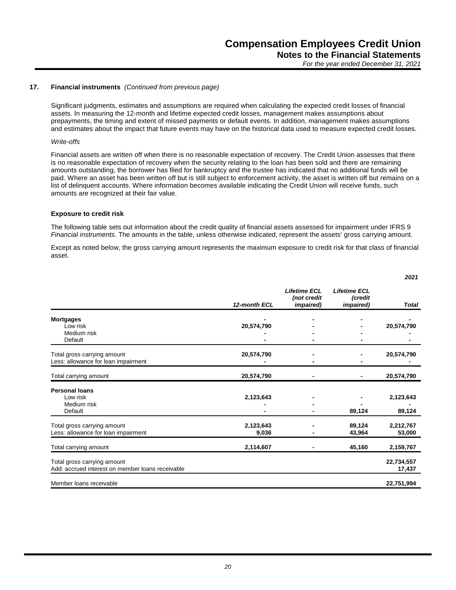*2021*

#### **17. Financial instruments** *(Continued from previous page)*

Significant judgments, estimates and assumptions are required when calculating the expected credit losses of financial assets. In measuring the 12-month and lifetime expected credit losses, management makes assumptions about prepayments, the timing and extent of missed payments or default events. In addition, management makes assumptions and estimates about the impact that future events may have on the historical data used to measure expected credit losses.

#### *Write-offs*

Financial assets are written off when there is no reasonable expectation of recovery. The Credit Union assesses that there is no reasonable expectation of recovery when the security relating to the loan has been sold and there are remaining amounts outstanding, the borrower has filed for bankruptcy and the trustee has indicated that no additional funds will be paid. Where an asset has been written off but is still subject to enforcement activity, the asset is written off but remains on a list of delinquent accounts. Where information becomes available indicating the Credit Union will receive funds, such amounts are recognized at their fair value.

#### **Exposure to credit risk**

The following table sets out information about the credit quality of financial assets assessed for impairment under IFRS 9 *Financial instruments*. The amounts in the table, unless otherwise indicated, represent the assets' gross carrying amount.

Except as noted below, the gross carrying amount represents the maximum exposure to credit risk for that class of financial asset.

|                                                                                 | 12-month ECL       | <b>Lifetime ECL</b><br>(not credit<br><i>impaired</i> ) | <b>Lifetime ECL</b><br>(credit<br><i>impaired</i> ) | Total                |
|---------------------------------------------------------------------------------|--------------------|---------------------------------------------------------|-----------------------------------------------------|----------------------|
| <b>Mortgages</b><br>Low risk                                                    | 20,574,790         |                                                         |                                                     | 20,574,790           |
| Medium risk<br>Default                                                          |                    |                                                         |                                                     |                      |
| Total gross carrying amount<br>Less: allowance for loan impairment              | 20,574,790         |                                                         |                                                     | 20,574,790           |
| Total carrying amount                                                           | 20,574,790         |                                                         |                                                     | 20,574,790           |
| <b>Personal loans</b><br>Low risk<br>Medium risk<br>Default                     | 2,123,643          |                                                         | 89,124                                              | 2,123,643<br>89,124  |
| Total gross carrying amount<br>Less: allowance for loan impairment              | 2,123,643<br>9,036 |                                                         | 89,124<br>43,964                                    | 2,212,767<br>53,000  |
| Total carrying amount                                                           | 2,114,607          |                                                         | 45,160                                              | 2,159,767            |
| Total gross carrying amount<br>Add: accrued interest on member loans receivable |                    |                                                         |                                                     | 22,734,557<br>17,437 |
| Member loans receivable                                                         |                    |                                                         |                                                     | 22,751,994           |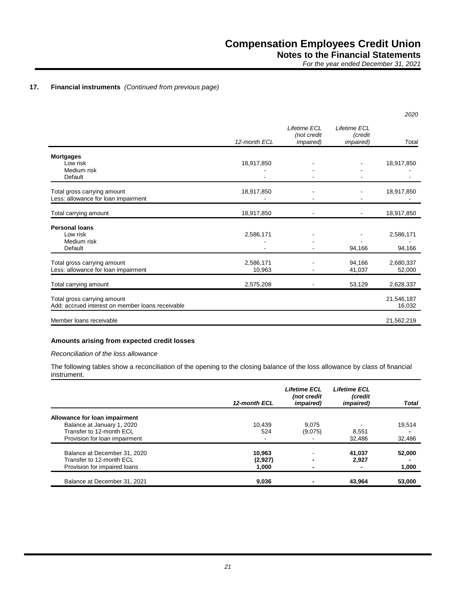#### **17. Financial instruments** *(Continued from previous page)*

|                                                                                 |                     |                                                  |                                              | 2020                 |
|---------------------------------------------------------------------------------|---------------------|--------------------------------------------------|----------------------------------------------|----------------------|
|                                                                                 | 12-month ECL        | Lifetime ECL<br>(not credit<br><i>impaired</i> ) | Lifetime ECL<br>(credit<br><i>impaired</i> ) | Total                |
| <b>Mortgages</b><br>Low risk<br>Medium risk<br>Default                          | 18,917,850          |                                                  |                                              | 18,917,850           |
| Total gross carrying amount<br>Less: allowance for loan impairment              | 18,917,850          |                                                  |                                              | 18,917,850           |
| Total carrying amount                                                           | 18,917,850          |                                                  |                                              | 18,917,850           |
| <b>Personal loans</b><br>Low risk<br>Medium risk<br>Default                     | 2,586,171           |                                                  | 94,166                                       | 2,586,171<br>94,166  |
| Total gross carrying amount<br>Less: allowance for loan impairment              | 2,586,171<br>10,963 |                                                  | 94,166<br>41,037                             | 2,680,337<br>52,000  |
| Total carrying amount                                                           | 2,575,208           |                                                  | 53,129                                       | 2,628,337            |
| Total gross carrying amount<br>Add: accrued interest on member loans receivable |                     |                                                  |                                              | 21,546,187<br>16,032 |
| Member loans receivable                                                         |                     |                                                  |                                              | 21,562,219           |

#### **Amounts arising from expected credit losses**

#### *Reconciliation of the loss allowance*

The following tables show a reconciliation of the opening to the closing balance of the loss allowance by class of financial instrument.

|                               | 12-month ECL | <b>Lifetime ECL</b><br>(not credit<br><i>impaired</i> ) | <b>Lifetime ECL</b><br>(credit<br><i>impaired</i> ) | <b>Total</b> |
|-------------------------------|--------------|---------------------------------------------------------|-----------------------------------------------------|--------------|
| Allowance for loan impairment |              |                                                         |                                                     |              |
| Balance at January 1, 2020    | 10.439       | 9.075                                                   |                                                     | 19,514       |
| Transfer to 12-month ECL      | 524          | (9,075)                                                 | 8,551                                               |              |
| Provision for loan impairment | ۰            |                                                         | 32.486                                              | 32,486       |
| Balance at December 31, 2020  | 10.963       |                                                         | 41,037                                              | 52,000       |
| Transfer to 12-month ECL      | (2,927)      |                                                         | 2.927                                               |              |
| Provision for impaired loans  | 1.000        |                                                         |                                                     | 1,000        |
| Balance at December 31, 2021  | 9,036        |                                                         | 43.964                                              | 53,000       |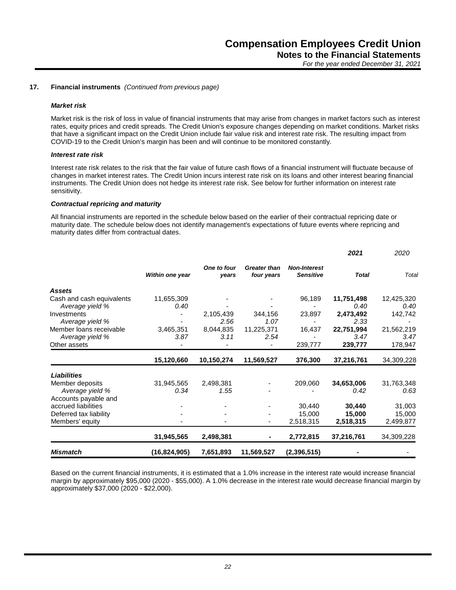#### **17. Financial instruments** *(Continued from previous page)*

#### *Market risk*

Market risk is the risk of loss in value of financial instruments that may arise from changes in market factors such as interest rates, equity prices and credit spreads. The Credit Union's exposure changes depending on market conditions. Market risks that have a significant impact on the Credit Union include fair value risk and interest rate risk. The resulting impact from COVID-19 to the Credit Union's margin has been and will continue to be monitored constantly.

#### *Interest rate risk*

Interest rate risk relates to the risk that the fair value of future cash flows of a financial instrument will fluctuate because of changes in market interest rates. The Credit Union incurs interest rate risk on its loans and other interest bearing financial instruments. The Credit Union does not hedge its interest rate risk. See below for further information on interest rate sensitivity.

#### *Contractual repricing and maturity*

All financial instruments are reported in the schedule below based on the earlier of their contractual repricing date or maturity date. The schedule below does not identify management's expectations of future events where repricing and maturity dates differ from contractual dates.

| <b>Mismatch</b>                            | (16, 824, 905)  | 7,651,893            | 11,569,527                        | (2,396,515)                             |                    |                    |
|--------------------------------------------|-----------------|----------------------|-----------------------------------|-----------------------------------------|--------------------|--------------------|
|                                            | 31,945,565      | 2,498,381            |                                   | 2,772,815                               | 37,216,761         | 34,309,228         |
| Members' equity                            |                 |                      |                                   | 2,518,315                               | 2,518,315          | 2,499,877          |
| Deferred tax liability                     |                 |                      |                                   | 15,000                                  | 15,000             | 15,000             |
| accrued liabilities                        |                 |                      |                                   | 30,440                                  | 30,440             | 31,003             |
| Accounts payable and                       |                 |                      |                                   |                                         |                    |                    |
| Member deposits<br>Average yield %         | 0.34            | 1.55                 |                                   |                                         | 34,653,006<br>0.42 | 31,763,348<br>0.63 |
| Liabilities                                | 31,945,565      | 2,498,381            |                                   | 209,060                                 |                    |                    |
|                                            | 15,120,660      | 10,150,274           | 11,569,527                        | 376,300                                 | 37,216,761         | 34,309,228         |
| Other assets                               |                 |                      |                                   | 239,777                                 | 239,777            | 178,947            |
| Average yield %                            | 3.87            | 3.11                 | 2.54                              |                                         | 3.47               | 3.47               |
| Member Ioans receivable                    | 3,465,351       | 8,044,835            | 11,225,371                        | 16,437                                  | 22,751,994         | 21,562,219         |
| Average yield %                            |                 | 2.56                 | 1.07                              |                                         | 2.33               |                    |
| Investments                                |                 | 2,105,439            | 344,156                           | 23,897                                  | 2,473,492          | 142,742            |
| Average yield %                            | 0.40            |                      |                                   |                                         | 0.40               | 0.40               |
| <b>Assets</b><br>Cash and cash equivalents | 11,655,309      |                      |                                   | 96,189                                  | 11,751,498         | 12,425,320         |
|                                            | Within one year | One to four<br>years | <b>Greater than</b><br>four years | <b>Non-Interest</b><br><b>Sensitive</b> | <b>Total</b>       | Total              |
|                                            |                 |                      |                                   |                                         | 2021               | 2020               |

Based on the current financial instruments, it is estimated that a 1.0% increase in the interest rate would increase financial margin by approximately \$95,000 (2020 - \$55,000). A 1.0% decrease in the interest rate would decrease financial margin by approximately \$37,000 (2020 - \$22,000).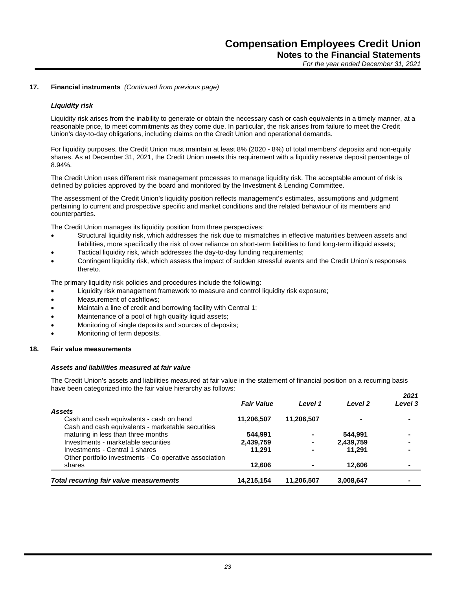#### **17. Financial instruments** *(Continued from previous page)*

#### *Liquidity risk*

Liquidity risk arises from the inability to generate or obtain the necessary cash or cash equivalents in a timely manner, at a reasonable price, to meet commitments as they come due. In particular, the risk arises from failure to meet the Credit Union's day-to-day obligations, including claims on the Credit Union and operational demands.

For liquidity purposes, the Credit Union must maintain at least 8% (2020 - 8%) of total members' deposits and non-equity shares. As at December 31, 2021, the Credit Union meets this requirement with a liquidity reserve deposit percentage of 8.94%.

The Credit Union uses different risk management processes to manage liquidity risk. The acceptable amount of risk is defined by policies approved by the board and monitored by the Investment & Lending Committee.

The assessment of the Credit Union's liquidity position reflects management's estimates, assumptions and judgment pertaining to current and prospective specific and market conditions and the related behaviour of its members and counterparties.

The Credit Union manages its liquidity position from three perspectives:

- Structural liquidity risk, which addresses the risk due to mismatches in effective maturities between assets and liabilities, more specifically the risk of over reliance on short-term liabilities to fund long-term illiquid assets;
- Tactical liquidity risk, which addresses the day-to-day funding requirements;
- Contingent liquidity risk, which assess the impact of sudden stressful events and the Credit Union's responses thereto.

The primary liquidity risk policies and procedures include the following:

- Liquidity risk management framework to measure and control liquidity risk exposure;
- Measurement of cashflows;
- Maintain a line of credit and borrowing facility with Central 1;
- Maintenance of a pool of high quality liquid assets;
- Monitoring of single deposits and sources of deposits;
- Monitoring of term deposits.

#### **18. Fair value measurements**

#### *Assets and liabilities measured at fair value*

The Credit Union's assets and liabilities measured at fair value in the statement of financial position on a recurring basis have been categorized into the fair value hierarchy as follows: *2021*

| <b>Total recurring fair value measurements</b>                                          | 14,215,154        | 11,206,507 | 3,008,647 |                  |
|-----------------------------------------------------------------------------------------|-------------------|------------|-----------|------------------|
| shares                                                                                  | 12,606            |            | 12.606    |                  |
| Other portfolio investments - Co-operative association                                  |                   |            |           |                  |
| Investments - Central 1 shares                                                          | 11.291            |            | 11.291    | $\blacksquare$   |
| Investments - marketable securities                                                     | 2,439,759         |            | 2,439,759 |                  |
| Cash and cash equivalents - marketable securities<br>maturing in less than three months | 544.991           |            | 544.991   |                  |
| Cash and cash equivalents - cash on hand                                                | 11,206,507        | 11,206,507 |           |                  |
| <b>Assets</b>                                                                           | <b>Fair Value</b> | Level 1    | Level 2   | ZUZ I<br>Level 3 |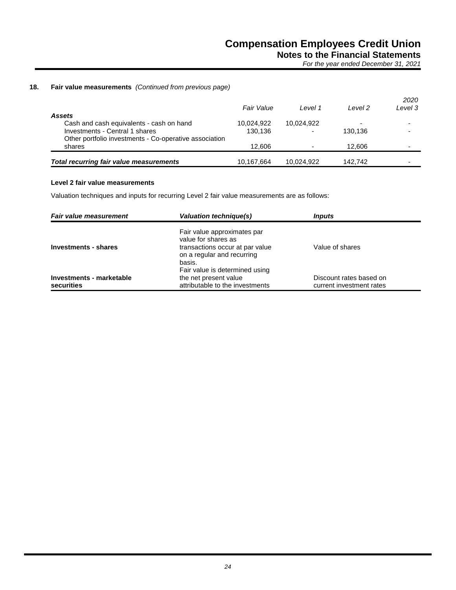**Notes to the Financial Statements**

*For the year ended December 31, 2021*

#### **18. Fair value measurements** *(Continued from previous page)*

|                                                        | <b>Fair Value</b> | Level 1    | l evel 2 | 2020<br>Level 3          |
|--------------------------------------------------------|-------------------|------------|----------|--------------------------|
| Assets                                                 |                   |            |          |                          |
| Cash and cash equivalents - cash on hand               | 10,024,922        | 10,024,922 |          |                          |
| Investments - Central 1 shares                         | 130.136           |            | 130.136  | $\overline{\phantom{a}}$ |
| Other portfolio investments - Co-operative association |                   |            |          |                          |
| shares                                                 | 12.606            |            | 12.606   | $\overline{\phantom{a}}$ |
|                                                        |                   |            |          |                          |
| <b>Total recurring fair value measurements</b>         | 10,167,664        | 10,024,922 | 142.742  | -                        |

#### **Level 2 fair value measurements**

Valuation techniques and inputs for recurring Level 2 fair value measurements are as follows:

| <b>Fair value measurement</b>          | Valuation technique(s)                                                                                                                                          | <i><b>Inputs</b></i>                                |
|----------------------------------------|-----------------------------------------------------------------------------------------------------------------------------------------------------------------|-----------------------------------------------------|
| Investments - shares                   | Fair value approximates par<br>value for shares as<br>transactions occur at par value<br>on a regular and recurring<br>basis.<br>Fair value is determined using | Value of shares                                     |
| Investments - marketable<br>securities | the net present value<br>attributable to the investments                                                                                                        | Discount rates based on<br>current investment rates |